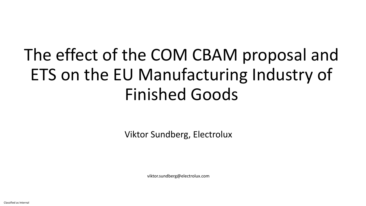# The effect of the COM CBAM proposal and ETS on the EU Manufacturing Industry of Finished Goods

Viktor Sundberg, Electrolux

viktor.sundberg@electrolux.com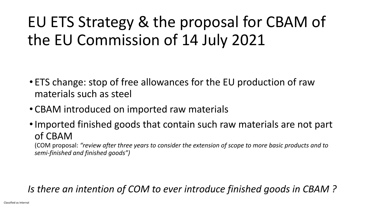## EU ETS Strategy & the proposal for CBAM of the EU Commission of 14 July 2021

- ETS change: stop of free allowances for the EU production of raw materials such as steel
- CBAM introduced on imported raw materials
- Imported finished goods that contain such raw materials are not part of CBAM

(COM proposal: *"review after three years to consider the extension of scope to more basic products and to semi-finished and finished goods")*

#### *Is there an intention of COM to ever introduce finished goods in CBAM ?*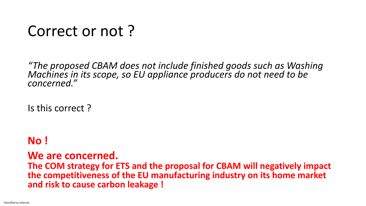#### Correct or not ?

*"The proposed CBAM does not include finished goods such as Washing Machines in its scope, so EU appliance producers do not need to be concerned."*

Is this correct ?

#### **No !**

#### **We are concerned. The COM strategy for ETS and the proposal for CBAM will negatively impact the competitiveness of the EU manufacturing industry on its home market and risk to cause carbon leakage !**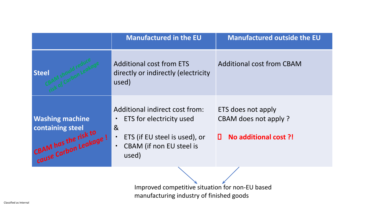|                                                                                             | <b>Manufactured in the EU</b>                                                                                                                                                                    | <b>Manufactured outside the EU</b>                                       |
|---------------------------------------------------------------------------------------------|--------------------------------------------------------------------------------------------------------------------------------------------------------------------------------------------------|--------------------------------------------------------------------------|
| <b>Steel</b>                                                                                | <b>Additional cost from ETS</b><br>directly or indirectly (electricity<br>used)                                                                                                                  | <b>Additional cost from CBAM</b>                                         |
| <b>Washing machine</b><br>containing steel<br>CBAM has the risk to<br>cause Carbon Leakage: | Additional indirect cost from:<br>ETS for electricity used<br>$\bullet$<br>8 <sub>l</sub><br>ETS (if EU steel is used), or<br>$\bullet$<br><b>CBAM</b> (if non EU steel is<br>$\bullet$<br>used) | ETS does not apply<br>CBAM does not apply?<br>No additional cost ?!<br>Ш |
|                                                                                             |                                                                                                                                                                                                  |                                                                          |

Improved competitive situation for non-EU based manufacturing industry of finished goods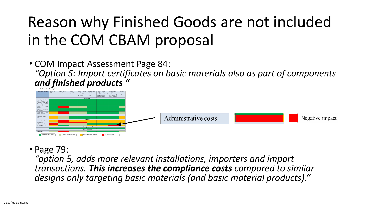# Reason why Finished Goods are not included in the COM CBAM proposal

• COM Impact Assessment Page 84: *"Option 5: Import certificates on basic materials also as part of components and finished products "*



#### • Page 79:

*"option 5, adds more relevant installations, importers and import transactions. This increases the compliance costs compared to similar designs only targeting basic materials (and basic material products)."*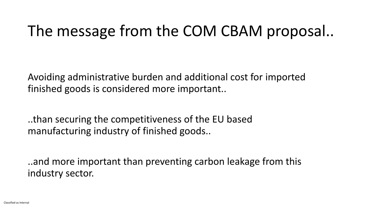### The message from the COM CBAM proposal..

Avoiding administrative burden and additional cost for imported finished goods is considered more important..

..than securing the competitiveness of the EU based manufacturing industry of finished goods..

..and more important than preventing carbon leakage from this industry sector.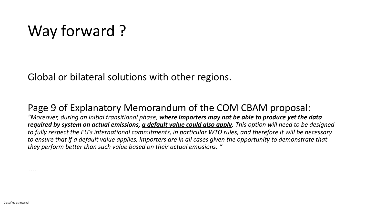## Way forward?

Global or bilateral solutions with other regions.

#### Page 9 of Explanatory Memorandum of the COM CBAM proposal:

*"Moreover, during an initial transitional phase, where importers may not be able to produce yet the data required by system on actual emissions, a default value could also apply. This option will need to be designed to fully respect the EU's international commitments, in particular WTO rules, and therefore it will be necessary to ensure that if a default value applies, importers are in all cases given the opportunity to demonstrate that they perform better than such value based on their actual emissions. "*

*….*